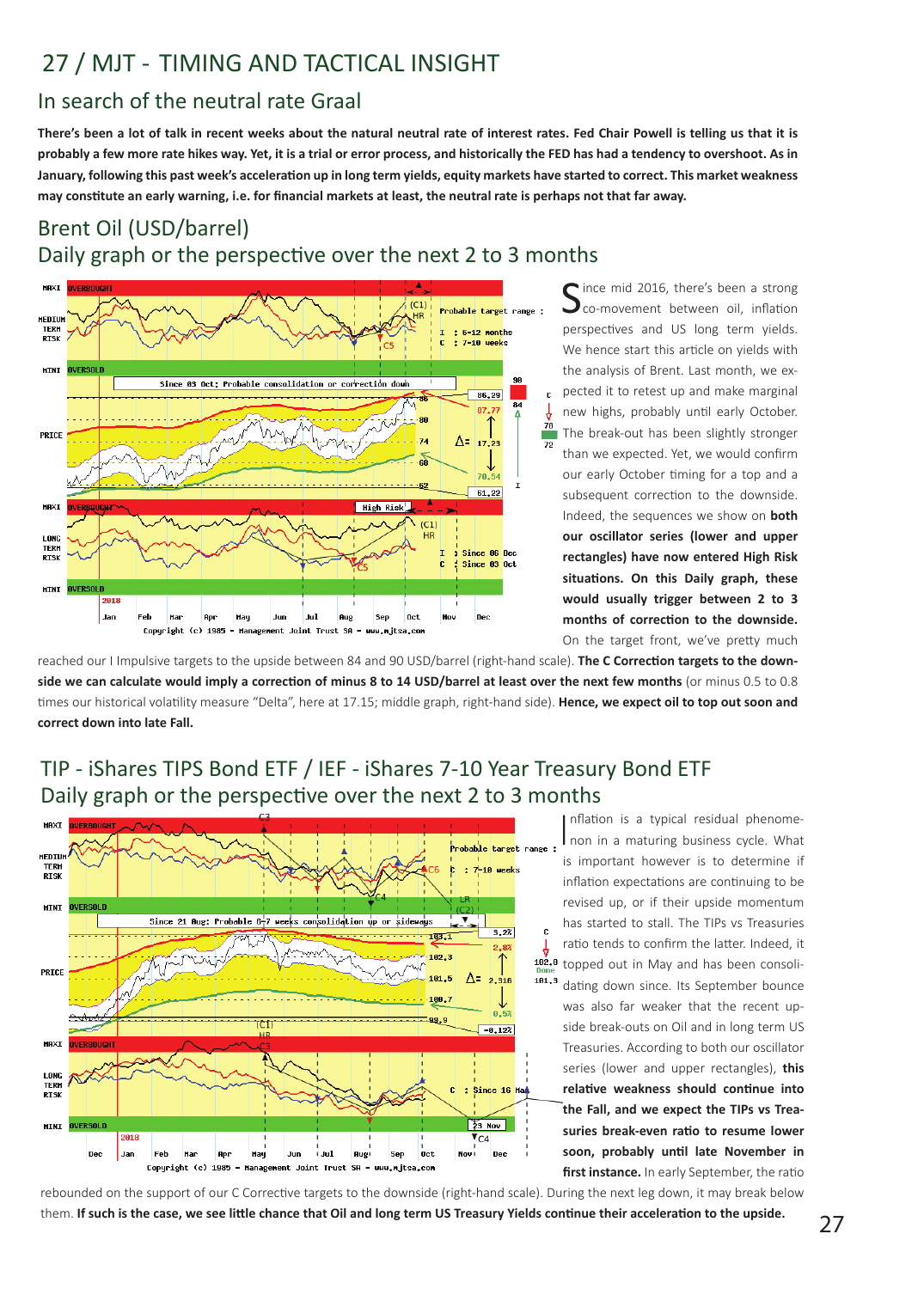# 27 / MJT - TIMING AND TACTICAL INSIGHT

#### In search of the neutral rate Graal

**There's been a lot of talk in recent weeks about the natural neutral rate of interest rates. Fed Chair Powell is telling us that it is probably a few more rate hikes way. Yet, it is a trial or error process, and historically the FED has had a tendency to overshoot. As in January, following this past week's acceleration up in long term yields, equity markets have started to correct. This market weakness may constitute an early warning, i.e. for financial markets at least, the neutral rate is perhaps not that far away.** 

## Brent Oil (USD/barrel) Daily graph or the perspective over the next 2 to 3 months



Cince mid 2016, there's been a strong co-movement between oil, inflation perspectives and US long term yields. We hence start this article on yields with the analysis of Brent. Last month, we expected it to retest up and make marginal new highs, probably until early October. The break-out has been slightly stronger than we expected. Yet, we would confirm our early October timing for a top and a subsequent correction to the downside. Indeed, the sequences we show on **both our oscillator series (lower and upper rectangles) have now entered High Risk situations. On this Daily graph, these would usually trigger between 2 to 3 months of correction to the downside.**  On the target front, we've pretty much

reached our I Impulsive targets to the upside between 84 and 90 USD/barrel (right-hand scale). **The C Correction targets to the downside we can calculate would imply a correction of minus 8 to 14 USD/barrel at least over the next few months** (or minus 0.5 to 0.8 times our historical volatility measure "Delta", here at 17.15; middle graph, right-hand side). **Hence, we expect oil to top out soon and correct down into late Fall.**

## TIP - iShares TIPS Bond ETF / IEF - iShares 7-10 Year Treasury Bond ETF Daily graph or the perspective over the next 2 to 3 months



Inflation is a typical residual phenome-<br>Inon in a maturing business cycle. What nflation is a typical residual phenomeis important however is to determine if inflation expectations are continuing to be revised up, or if their upside momentum has started to stall. The TIPs vs Treasuries ratio tends to confirm the latter. Indeed, it topped out in May and has been consolidating down since. Its September bounce was also far weaker that the recent upside break-outs on Oil and in long term US Treasuries. According to both our oscillator series (lower and upper rectangles), **this relative weakness should continue into the Fall, and we expect the TIPs vs Treasuries break-even ratio to resume lower soon, probably until late November in first instance.** In early September, the ratio

rebounded on the support of our C Corrective targets to the downside (right-hand scale). During the next leg down, it may break below them. **If such is the case, we see little chance that Oil and long term US Treasury Yields continue their acceleration to the upside.**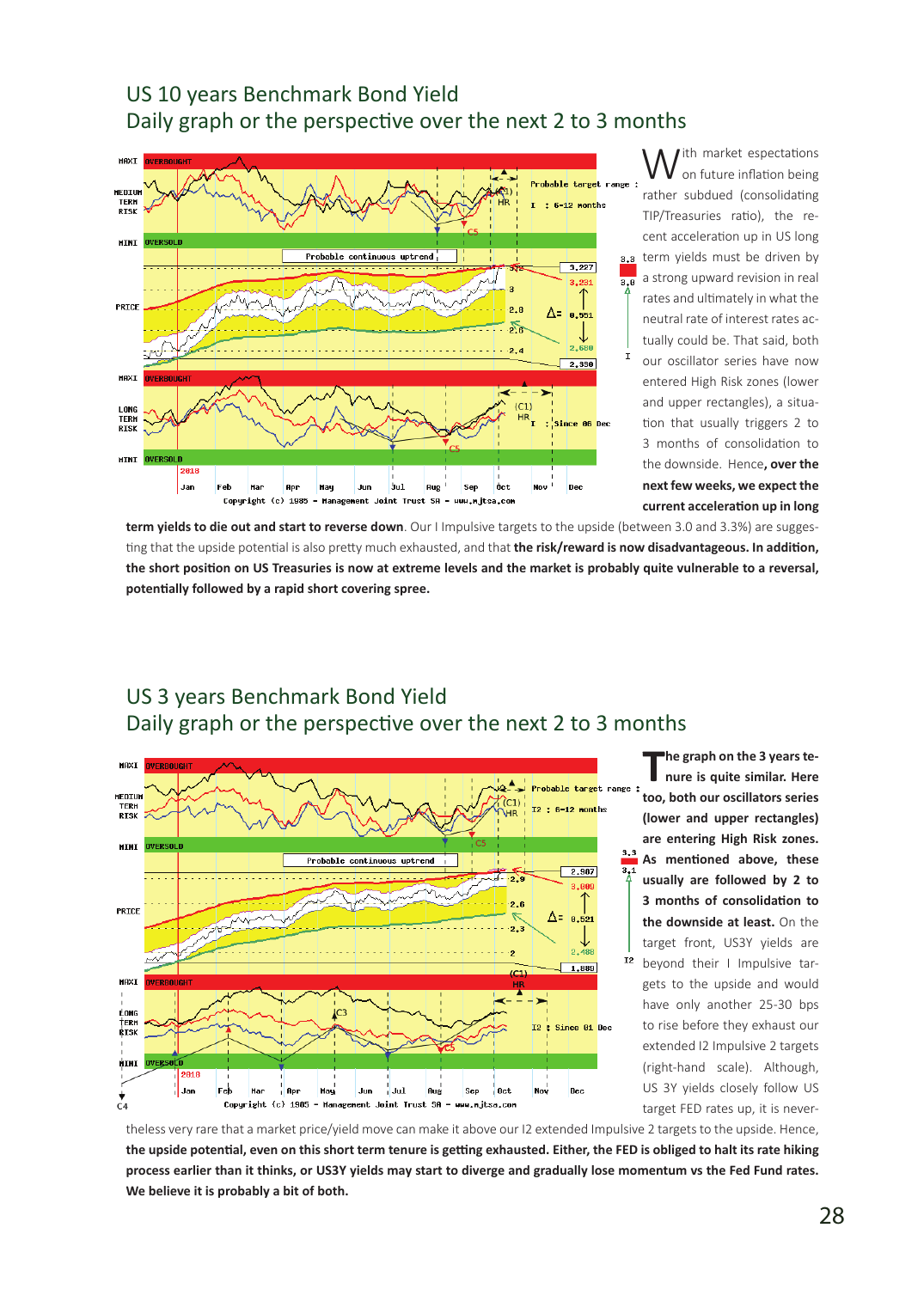#### US 10 years Benchmark Bond Yield Daily graph or the perspective over the next 2 to 3 months



W<sup>ith</sup> market espectations<br>on future inflation being rather subdued (consolidating TIP/Treasuries ratio), the recent acceleration up in US long term yields must be driven by a strong upward revision in real rates and ultimately in what the neutral rate of interest rates actually could be. That said, both our oscillator series have now entered High Risk zones (lower and upper rectangles), a situation that usually triggers 2 to 3 months of consolidation to the downside. Hence**, over the next few weeks, we expect the current acceleration up in long** 

**term yields to die out and start to reverse down**. Our I Impulsive targets to the upside (between 3.0 and 3.3%) are suggesting that the upside potential is also pretty much exhausted, and that **the risk/reward is now disadvantageous. In addition, the short position on US Treasuries is now at extreme levels and the market is probably quite vulnerable to a reversal, potentially followed by a rapid short covering spree.**

#### US 3 years Benchmark Bond Yield Daily graph or the perspective over the next 2 to 3 months



**The graph on the 3 years te-nure is quite similar. Here too, both our oscillators series (lower and upper rectangles) are entering High Risk zones. As mentioned above, these usually are followed by 2 to 3 months of consolidation to the downside at least.** On the target front, US3Y yields are beyond their I Impulsive targets to the upside and would have only another 25-30 bps to rise before they exhaust our extended I2 Impulsive 2 targets (right-hand scale). Although, US 3Y yields closely follow US target FED rates up, it is never-

theless very rare that a market price/yield move can make it above our I2 extended Impulsive 2 targets to the upside. Hence, **the upside potential, even on this short term tenure is getting exhausted. Either, the FED is obliged to halt its rate hiking process earlier than it thinks, or US3Y yields may start to diverge and gradually lose momentum vs the Fed Fund rates. We believe it is probably a bit of both.**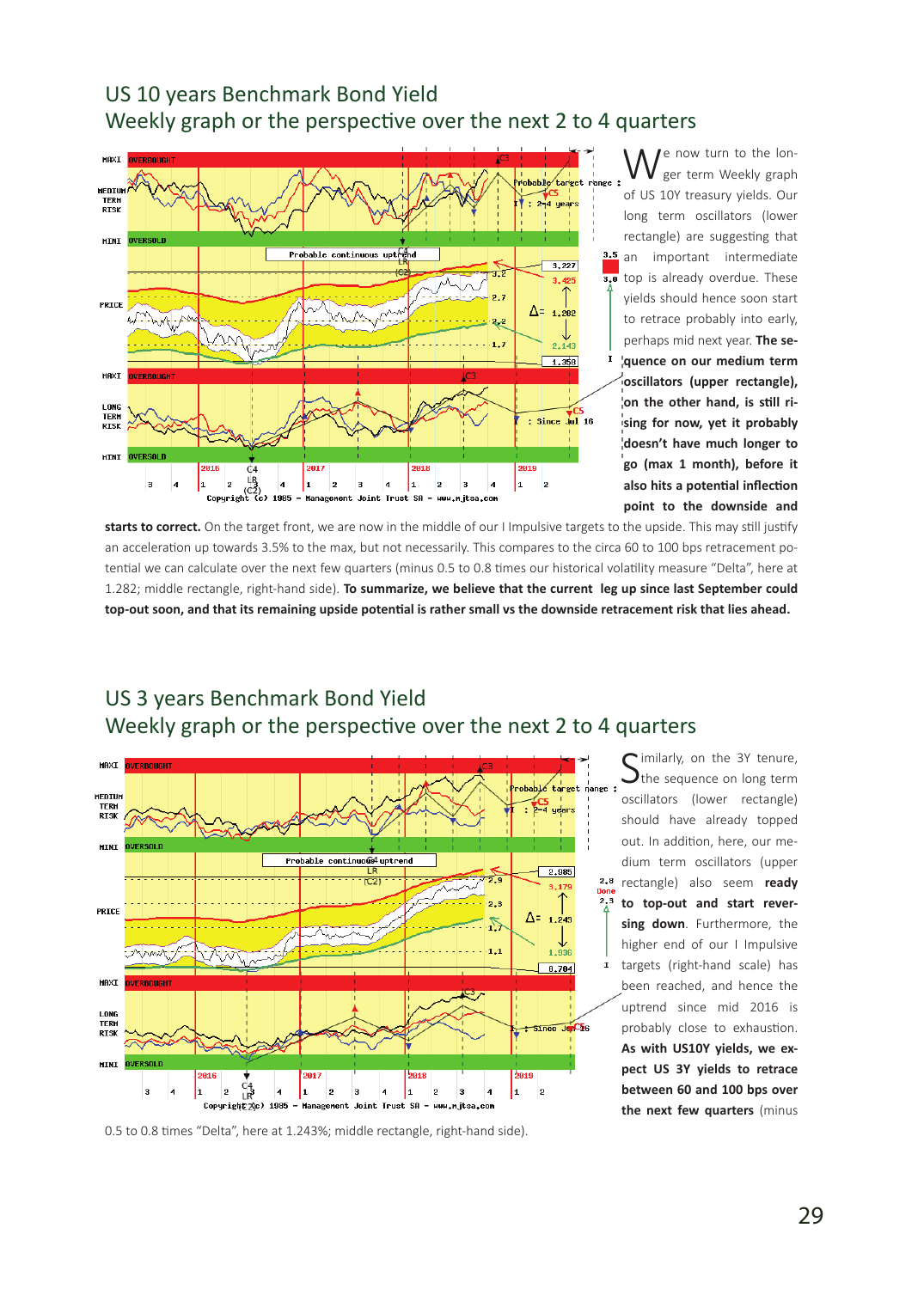### US 10 years Benchmark Bond Yield Weekly graph or the perspective over the next 2 to 4 quarters



We now turn to the lon-<br>ger term Weekly graph of US 10Y treasury yields. Our long term oscillators (lower rectangle) are suggesting that an important intermediate top is already overdue. These yields should hence soon start to retrace probably into early, perhaps mid next year. **The sequence on our medium term oscillators (upper rectangle), on the other hand, is still rising for now, yet it probably doesn't have much longer to go (max 1 month), before it also hits a potential inflection point to the downside and** 

**starts to correct.** On the target front, we are now in the middle of our I Impulsive targets to the upside. This may still justify an acceleration up towards 3.5% to the max, but not necessarily. This compares to the circa 60 to 100 bps retracement potential we can calculate over the next few quarters (minus 0.5 to 0.8 times our historical volatility measure "Delta", here at 1.282; middle rectangle, right-hand side). **To summarize, we believe that the current leg up since last September could top-out soon, and that its remaining upside potential is rather small vs the downside retracement risk that lies ahead.**



## US 3 years Benchmark Bond Yield Weekly graph or the perspective over the next 2 to 4 quarters

0.5 to 0.8 times "Delta", here at 1.243%; middle rectangle, right-hand side).

imilarly, on the 3Y tenure,  $\blacktriangleright$ the sequence on long term oscillators (lower rectangle) should have already topped out. In addition, here, our medium term oscillators (upper rectangle) also seem **ready to top-out and start reversing down**. Furthermore, the higher end of our I Impulsive targets (right-hand scale) has been reached, and hence the uptrend since mid 2016 is probably close to exhaustion. **As with US10Y yields, we expect US 3Y yields to retrace between 60 and 100 bps over the next few quarters** (minus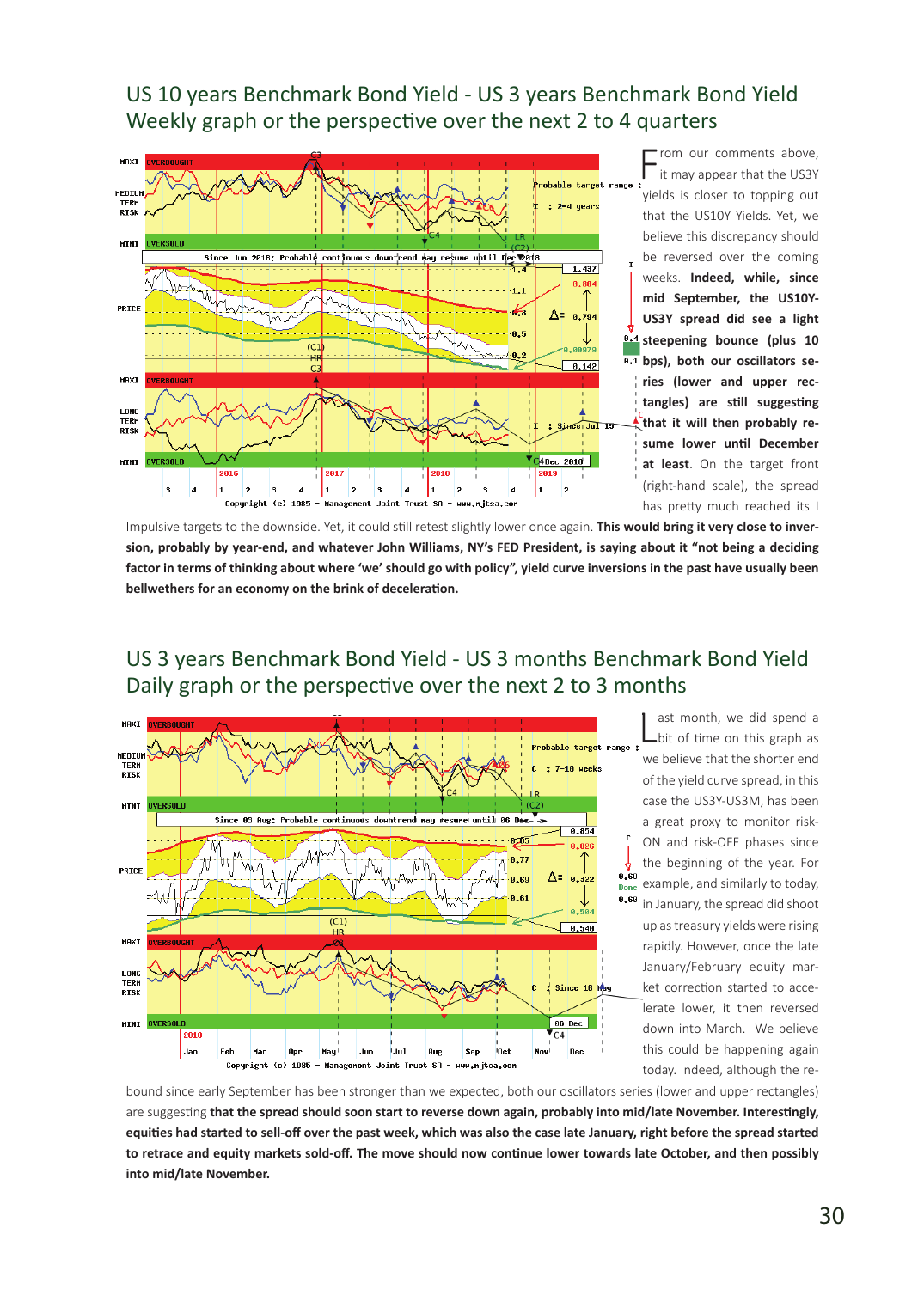US 10 years Benchmark Bond Yield - US 3 years Benchmark Bond Yield Weekly graph or the perspective over the next 2 to 4 quarters



From our comments above,<br>it may appear that the US3Y yields is closer to topping out that the US10Y Yields. Yet, we believe this discrepancy should be reversed over the coming weeks. **Indeed, while, since mid September, the US10Y-US3Y spread did see a light steepening bounce (plus 10 bps), both our oscillators series (lower and upper rectangles) are still suggesting that it will then probably resume lower until December at least**. On the target front (right-hand scale), the spread has pretty much reached its I

Impulsive targets to the downside. Yet, it could still retest slightly lower once again. **This would bring it very close to inversion, probably by year-end, and whatever John Williams, NY's FED President, is saying about it "not being a deciding factor in terms of thinking about where 'we' should go with policy", yield curve inversions in the past have usually been bellwethers for an economy on the brink of deceleration.**

#### US 3 years Benchmark Bond Yield - US 3 months Benchmark Bond Yield Daily graph or the perspective over the next 2 to 3 months



L ast month, we did spend a bit of time on this graph as we believe that the shorter end of the yield curve spread, in this case the US3Y-US3M, has been a great proxy to monitor risk-ON and risk-OFF phases since the beginning of the year. For example, and similarly to today, in January, the spread did shoot up as treasury yields were rising rapidly. However, once the late January/February equity market correction started to accelerate lower, it then reversed down into March. We believe this could be happening again today. Indeed, although the re-

bound since early September has been stronger than we expected, both our oscillators series (lower and upper rectangles) are suggesting **that the spread should soon start to reverse down again, probably into mid/late November. Interestingly, equities had started to sell-off over the past week, which was also the case late January, right before the spread started to retrace and equity markets sold-off. The move should now continue lower towards late October, and then possibly into mid/late November.**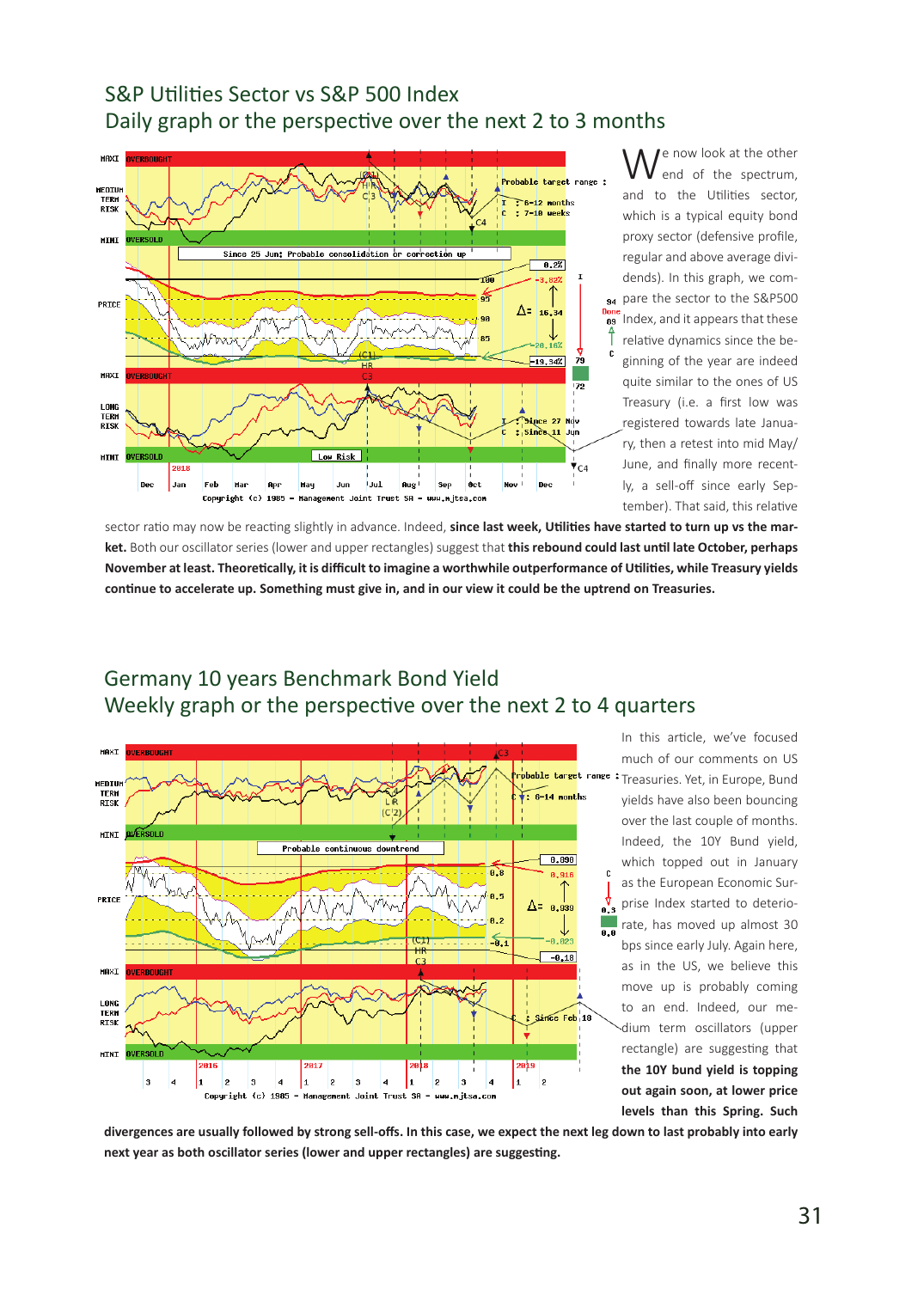### S&P Utilities Sector vs S&P 500 Index Daily graph or the perspective over the next 2 to 3 months



We now look at the other<br>end of the spectrum, and to the Utilities sector, which is a typical equity bond proxy sector (defensive profile, regular and above average dividends). In this graph, we com-94 pare the sector to the S&P500 Index, and it appears that these relative dynamics since the beginning of the year are indeed quite similar to the ones of US Treasury (i.e. a first low was registered towards late January, then a retest into mid May/ June, and finally more recently, a sell-off since early September). That said, this relative

sector ratio may now be reacting slightly in advance. Indeed, **since last week, Utilities have started to turn up vs the market.** Both our oscillator series (lower and upper rectangles) suggest that **this rebound could last until late October, perhaps November at least. Theoretically, it is difficult to imagine a worthwhile outperformance of Utilities, while Treasury yields continue to accelerate up. Something must give in, and in our view it could be the uptrend on Treasuries.**

#### Germany 10 years Benchmark Bond Yield Weekly graph or the perspective over the next 2 to 4 quarters



In this article, we've focused much of our comments on US Treasuries. Yet, in Europe, Bund yields have also been bouncing over the last couple of months. Indeed, the 10Y Bund yield, which topped out in January as the European Economic Surprise Index started to deteriorate, has moved up almost 30 bps since early July. Again here, as in the US, we believe this move up is probably coming to an end. Indeed, our medium term oscillators (upper rectangle) are suggesting that **the 10Y bund yield is topping out again soon, at lower price levels than this Spring. Such** 

**divergences are usually followed by strong sell-offs. In this case, we expect the next leg down to last probably into early next year as both oscillator series (lower and upper rectangles) are suggesting.**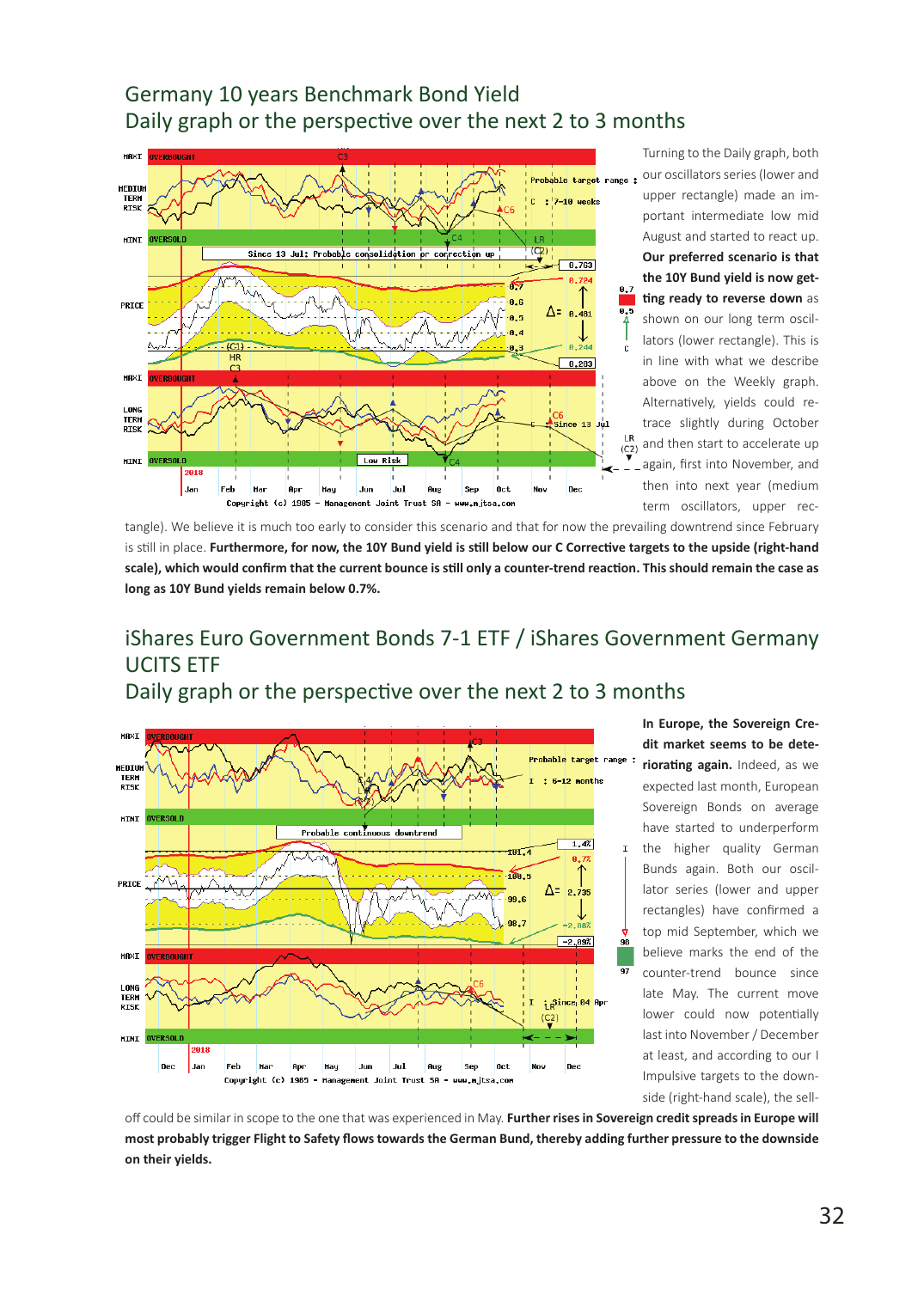## Germany 10 years Benchmark Bond Yield Daily graph or the perspective over the next 2 to 3 months



Turning to the Daily graph, both our oscillators series (lower and upper rectangle) made an important intermediate low mid August and started to react up. **Our preferred scenario is that the 10Y Bund yield is now getting ready to reverse down** as shown on our long term oscillators (lower rectangle). This is in line with what we describe above on the Weekly graph. Alternatively, yields could retrace slightly during October and then start to accelerate up again, first into November, and then into next year (medium term oscillators, upper rec-

tangle). We believe it is much too early to consider this scenario and that for now the prevailing downtrend since February is still in place. **Furthermore, for now, the 10Y Bund yield is still below our C Corrective targets to the upside (right-hand scale), which would confirm that the current bounce is still only a counter-trend reaction. This should remain the case as long as 10Y Bund yields remain below 0.7%.**

## iShares Euro Government Bonds 7-1 ETF / iShares Government Germany UCITS ETF

Daily graph or the perspective over the next 2 to 3 months



**In Europe, the Sovereign Credit market seems to be deteriorating again.** Indeed, as we expected last month, European Sovereign Bonds on average have started to underperform the higher quality German Bunds again. Both our oscillator series (lower and upper rectangles) have confirmed a top mid September, which we believe marks the end of the counter-trend bounce since late May. The current move lower could now potentially last into November / December at least, and according to our I Impulsive targets to the downside (right-hand scale), the sell-

off could be similar in scope to the one that was experienced in May. **Further rises in Sovereign credit spreads in Europe will most probably trigger Flight to Safety flows towards the German Bund, thereby adding further pressure to the downside on their yields.**